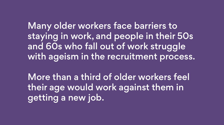Many older workers face barriers to staying in work, and people in their 50s and 60s who fall out of work struggle with ageism in the recruitment process.

More than a third of older workers feel their age would work against them in getting a new job.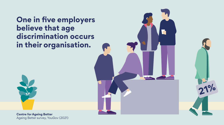**One in five employers believe that age discrimination occurs in their organisation.**



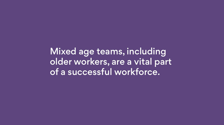Mixed age teams, including older workers, are a vital part of a successful workforce.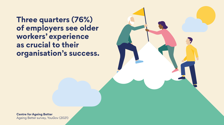**Three quarters (76%) of employers see older workers' experience as crucial to their organisation's success.**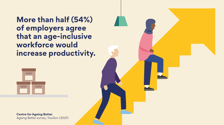**More than half (54%) of employers agree that an age-inclusive workforce would increase productivity.**

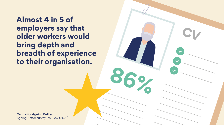**Almost 4 in 5 of employers say that older workers would bring depth and breadth of experience to their organisation.**

**86%**

**CV**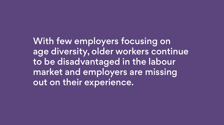With few employers focusing on age diversity, older workers continue to be disadvantaged in the labour market and employers are missing out on their experience.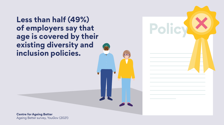**Less than half (49%) of employers say that age is covered by their existing diversity and inclusion policies.**

**Policy**

 $\overline{\textbf{C}}$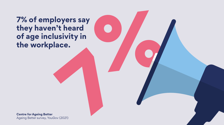**7% of employers say they haven't heard**  of age inclusivity in<br>the workplace. 7% of employers say<br>they haven't heard<br>of age inclusivity in<br>the workplace.<br>extra for Ageing Batter.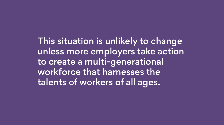This situation is unlikely to change unless more employers take action to create a multi-generational workforce that harnesses the

talents of workers of all ages.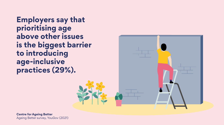**Employers say that prioritising age above other issues is the biggest barrier to introducing age-inclusive practices (29%).**